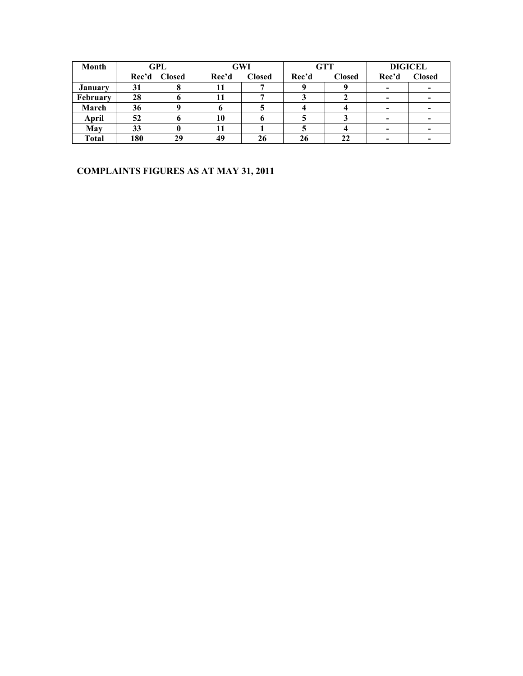| Month          |       | GPL           |       | <b>GWI</b>    |       | <b>GTT</b>    | <b>DIGICEL</b>           |                          |
|----------------|-------|---------------|-------|---------------|-------|---------------|--------------------------|--------------------------|
|                | Rec'd | <b>Closed</b> | Rec'd | <b>Closed</b> | Rec'd | <b>Closed</b> | Rec'd                    | <b>Closed</b>            |
| <b>January</b> | 31    |               |       |               |       |               | $\overline{\phantom{0}}$ | $\,$                     |
| February       | 28    |               |       |               |       |               | -                        | $\overline{\phantom{0}}$ |
| March          | 36    |               |       |               |       |               | -                        | $\overline{\phantom{0}}$ |
| April          | 52    |               | 10    |               |       |               |                          | $\overline{\phantom{0}}$ |
| May            | 33    |               |       |               |       |               |                          |                          |
| <b>Total</b>   | 180   | 29            | 49    | 26            | 26    | 22            |                          |                          |

### **COMPLAINTS FIGURES AS AT MAY 31, 2011**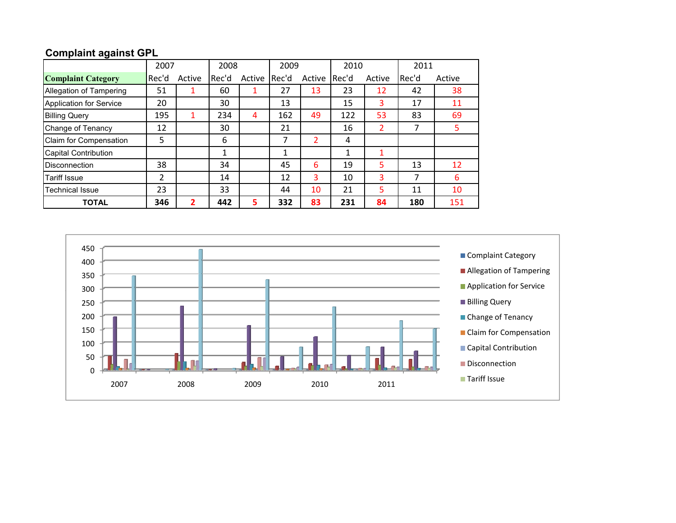# **Complaint against GPL**

|                                | 2007    |        | 2008         |        | 2009  |        | 2010  |        | 2011  |        |
|--------------------------------|---------|--------|--------------|--------|-------|--------|-------|--------|-------|--------|
| <b>Complaint Category</b>      | l Rec'd | Active | Rec'd        | Active | Rec'd | Active | Rec'd | Active | Rec'd | Active |
| Allegation of Tampering        | 51      |        | 60           | 1      | 27    | 13     | 23    | 12     | 42    | 38     |
| <b>Application for Service</b> | 20      |        | 30           |        | 13    |        | 15    | 3      | 17    | 11     |
| <b>Billing Query</b>           | 195     | 1      | 234          | 4      | 162   | 49     | 122   | 53     | 83    | 69     |
| Change of Tenancy              | 12      |        | 30           |        | 21    |        | 16    | 2      | 7     | 5.     |
| Claim for Compensation         | 5       |        | 6            |        | 7     | 2      | 4     |        |       |        |
| <b>Capital Contribution</b>    |         |        | $\mathbf{1}$ |        | 1     |        | 1     |        |       |        |
| <b>Disconnection</b>           | 38      |        | 34           |        | 45    | 6      | 19    | 5      | 13    | 12     |
| Tariff Issue                   | 2       |        | 14           |        | 12    | 3      | 10    | 3      | 7     | 6      |
| Technical Issue                | 23      |        | 33           |        | 44    | 10     | 21    | 5      | 11    | 10     |
| <b>TOTAL</b>                   | 346     | 2      | 442          | 5      | 332   | 83     | 231   | 84     | 180   | 151    |

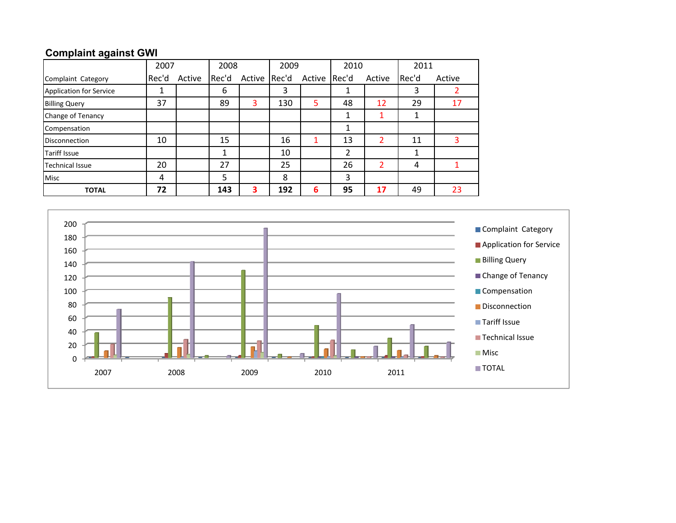### **Complaint against GWI**

|                                | 2007<br>2008 |        | 2009  |        | 2010  |              | 2011           |        |       |        |
|--------------------------------|--------------|--------|-------|--------|-------|--------------|----------------|--------|-------|--------|
| Complaint Category             | Rec'd        | Active | Rec'd | Active | Rec'd | Active Rec'd |                | Active | Rec'd | Active |
| <b>Application for Service</b> | 1            |        | 6     |        | 3     |              |                |        | 3     |        |
| <b>Billing Query</b>           | 37           |        | 89    | 3      | 130   | 5            | 48             | 12     | 29    | 17     |
| Change of Tenancy              |              |        |       |        |       |              |                |        |       |        |
| Compensation                   |              |        |       |        |       |              | 1              |        |       |        |
| <b>Disconnection</b>           | 10           |        | 15    |        | 16    |              | 13             | 2      | 11    | 3      |
| <b>Tariff Issue</b>            |              |        | 1     |        | 10    |              | $\overline{2}$ |        |       |        |
| <b>Technical Issue</b>         | 20           |        | 27    |        | 25    |              | 26             | 2      | 4     |        |
| <b>Misc</b>                    | 4            |        | 5     |        | 8     |              | 3              |        |       |        |
| <b>TOTAL</b>                   | 72           |        | 143   | 3      | 192   | 6            | 95             | 17     | 49    | 23     |

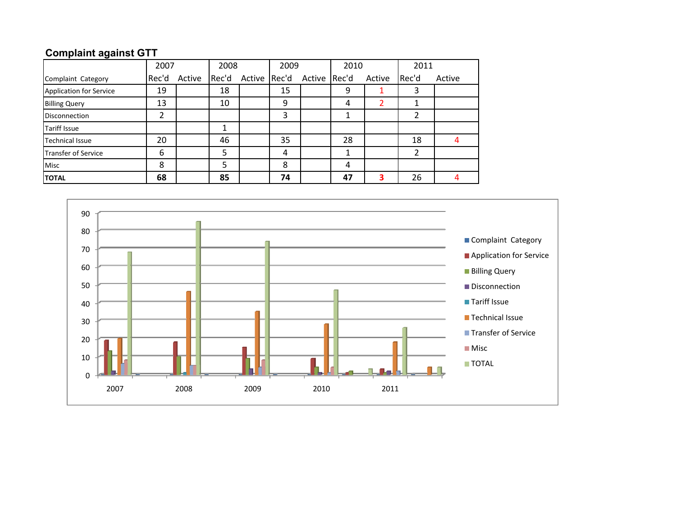# **Complaint against GTT**

|                            | 2007  |        | 2008  |              | 2009 |              | 2010 |        | 2011  |        |
|----------------------------|-------|--------|-------|--------------|------|--------------|------|--------|-------|--------|
| Complaint Category         | Rec'd | Active | Rec'd | Active Rec'd |      | Active Rec'd |      | Active | Rec'd | Active |
| Application for Service    | 19    |        | 18    |              | 15   |              | 9    |        | 3     |        |
| <b>Billing Query</b>       | 13    |        | 10    |              | 9    |              | 4    |        |       |        |
| <b>Disconnection</b>       | າ     |        |       |              | 3    |              | ┸    |        | 2     |        |
| <b>Tariff Issue</b>        |       |        |       |              |      |              |      |        |       |        |
| <b>Technical Issue</b>     | 20    |        | 46    |              | 35   |              | 28   |        | 18    |        |
| <b>Transfer of Service</b> | 6     |        | 5     |              | 4    |              |      |        | າ     |        |
| <b>Misc</b>                | 8     |        | 5     |              | 8    |              | 4    |        |       |        |
| <b>TOTAL</b>               | 68    |        | 85    |              | 74   |              | 47   | 3      | 26    |        |